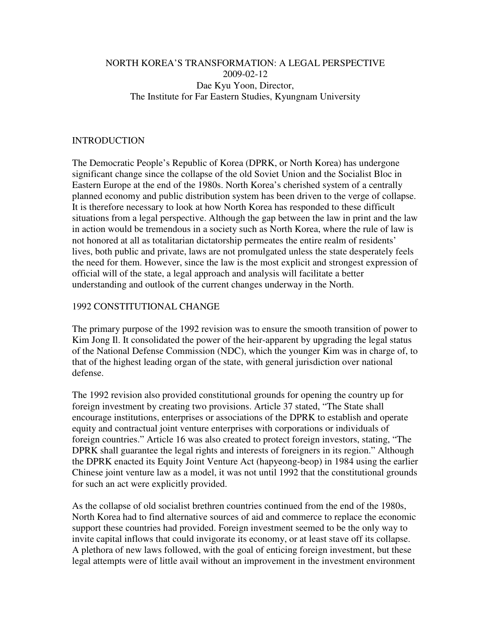### NORTH KOREA'S TRANSFORMATION: A LEGAL PERSPECTIVE 2009-02-12 Dae Kyu Yoon, Director, The Institute for Far Eastern Studies, Kyungnam University

#### INTRODUCTION

The Democratic People's Republic of Korea (DPRK, or North Korea) has undergone significant change since the collapse of the old Soviet Union and the Socialist Bloc in Eastern Europe at the end of the 1980s. North Korea's cherished system of a centrally planned economy and public distribution system has been driven to the verge of collapse. It is therefore necessary to look at how North Korea has responded to these difficult situations from a legal perspective. Although the gap between the law in print and the law in action would be tremendous in a society such as North Korea, where the rule of law is not honored at all as totalitarian dictatorship permeates the entire realm of residents' lives, both public and private, laws are not promulgated unless the state desperately feels the need for them. However, since the law is the most explicit and strongest expression of official will of the state, a legal approach and analysis will facilitate a better understanding and outlook of the current changes underway in the North.

#### 1992 CONSTITUTIONAL CHANGE

The primary purpose of the 1992 revision was to ensure the smooth transition of power to Kim Jong Il. It consolidated the power of the heir-apparent by upgrading the legal status of the National Defense Commission (NDC), which the younger Kim was in charge of, to that of the highest leading organ of the state, with general jurisdiction over national defense.

The 1992 revision also provided constitutional grounds for opening the country up for foreign investment by creating two provisions. Article 37 stated, "The State shall encourage institutions, enterprises or associations of the DPRK to establish and operate equity and contractual joint venture enterprises with corporations or individuals of foreign countries." Article 16 was also created to protect foreign investors, stating, "The DPRK shall guarantee the legal rights and interests of foreigners in its region." Although the DPRK enacted its Equity Joint Venture Act (hapyeong-beop) in 1984 using the earlier Chinese joint venture law as a model, it was not until 1992 that the constitutional grounds for such an act were explicitly provided.

As the collapse of old socialist brethren countries continued from the end of the 1980s, North Korea had to find alternative sources of aid and commerce to replace the economic support these countries had provided. Foreign investment seemed to be the only way to invite capital inflows that could invigorate its economy, or at least stave off its collapse. A plethora of new laws followed, with the goal of enticing foreign investment, but these legal attempts were of little avail without an improvement in the investment environment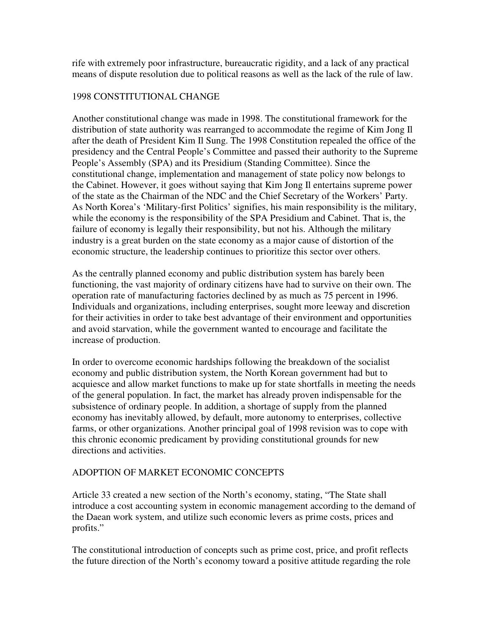rife with extremely poor infrastructure, bureaucratic rigidity, and a lack of any practical means of dispute resolution due to political reasons as well as the lack of the rule of law.

### 1998 CONSTITUTIONAL CHANGE

Another constitutional change was made in 1998. The constitutional framework for the distribution of state authority was rearranged to accommodate the regime of Kim Jong Il after the death of President Kim Il Sung. The 1998 Constitution repealed the office of the presidency and the Central People's Committee and passed their authority to the Supreme People's Assembly (SPA) and its Presidium (Standing Committee). Since the constitutional change, implementation and management of state policy now belongs to the Cabinet. However, it goes without saying that Kim Jong Il entertains supreme power of the state as the Chairman of the NDC and the Chief Secretary of the Workers' Party. As North Korea's 'Military-first Politics' signifies, his main responsibility is the military, while the economy is the responsibility of the SPA Presidium and Cabinet. That is, the failure of economy is legally their responsibility, but not his. Although the military industry is a great burden on the state economy as a major cause of distortion of the economic structure, the leadership continues to prioritize this sector over others.

As the centrally planned economy and public distribution system has barely been functioning, the vast majority of ordinary citizens have had to survive on their own. The operation rate of manufacturing factories declined by as much as 75 percent in 1996. Individuals and organizations, including enterprises, sought more leeway and discretion for their activities in order to take best advantage of their environment and opportunities and avoid starvation, while the government wanted to encourage and facilitate the increase of production.

In order to overcome economic hardships following the breakdown of the socialist economy and public distribution system, the North Korean government had but to acquiesce and allow market functions to make up for state shortfalls in meeting the needs of the general population. In fact, the market has already proven indispensable for the subsistence of ordinary people. In addition, a shortage of supply from the planned economy has inevitably allowed, by default, more autonomy to enterprises, collective farms, or other organizations. Another principal goal of 1998 revision was to cope with this chronic economic predicament by providing constitutional grounds for new directions and activities.

## ADOPTION OF MARKET ECONOMIC CONCEPTS

Article 33 created a new section of the North's economy, stating, "The State shall introduce a cost accounting system in economic management according to the demand of the Daean work system, and utilize such economic levers as prime costs, prices and profits."

The constitutional introduction of concepts such as prime cost, price, and profit reflects the future direction of the North's economy toward a positive attitude regarding the role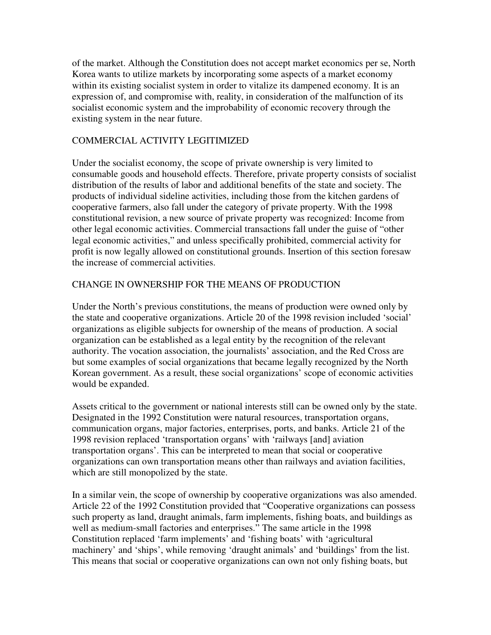of the market. Although the Constitution does not accept market economics per se, North Korea wants to utilize markets by incorporating some aspects of a market economy within its existing socialist system in order to vitalize its dampened economy. It is an expression of, and compromise with, reality, in consideration of the malfunction of its socialist economic system and the improbability of economic recovery through the existing system in the near future.

## COMMERCIAL ACTIVITY LEGITIMIZED

Under the socialist economy, the scope of private ownership is very limited to consumable goods and household effects. Therefore, private property consists of socialist distribution of the results of labor and additional benefits of the state and society. The products of individual sideline activities, including those from the kitchen gardens of cooperative farmers, also fall under the category of private property. With the 1998 constitutional revision, a new source of private property was recognized: Income from other legal economic activities. Commercial transactions fall under the guise of "other legal economic activities," and unless specifically prohibited, commercial activity for profit is now legally allowed on constitutional grounds. Insertion of this section foresaw the increase of commercial activities.

#### CHANGE IN OWNERSHIP FOR THE MEANS OF PRODUCTION

Under the North's previous constitutions, the means of production were owned only by the state and cooperative organizations. Article 20 of the 1998 revision included 'social' organizations as eligible subjects for ownership of the means of production. A social organization can be established as a legal entity by the recognition of the relevant authority. The vocation association, the journalists' association, and the Red Cross are but some examples of social organizations that became legally recognized by the North Korean government. As a result, these social organizations' scope of economic activities would be expanded.

Assets critical to the government or national interests still can be owned only by the state. Designated in the 1992 Constitution were natural resources, transportation organs, communication organs, major factories, enterprises, ports, and banks. Article 21 of the 1998 revision replaced 'transportation organs' with 'railways [and] aviation transportation organs'. This can be interpreted to mean that social or cooperative organizations can own transportation means other than railways and aviation facilities, which are still monopolized by the state.

In a similar vein, the scope of ownership by cooperative organizations was also amended. Article 22 of the 1992 Constitution provided that "Cooperative organizations can possess such property as land, draught animals, farm implements, fishing boats, and buildings as well as medium-small factories and enterprises." The same article in the 1998 Constitution replaced 'farm implements' and 'fishing boats' with 'agricultural machinery' and 'ships', while removing 'draught animals' and 'buildings' from the list. This means that social or cooperative organizations can own not only fishing boats, but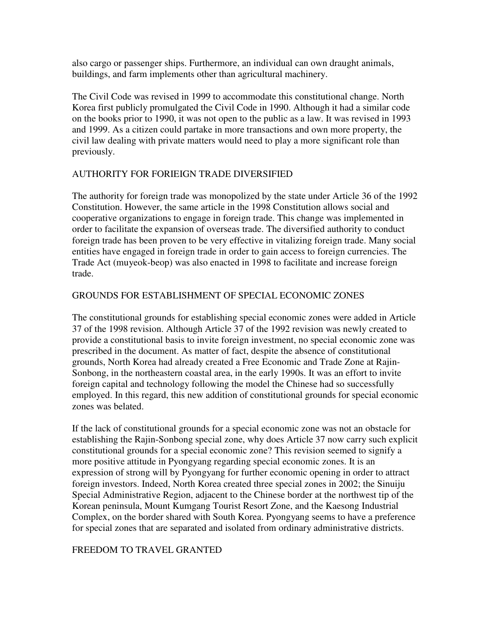also cargo or passenger ships. Furthermore, an individual can own draught animals, buildings, and farm implements other than agricultural machinery.

The Civil Code was revised in 1999 to accommodate this constitutional change. North Korea first publicly promulgated the Civil Code in 1990. Although it had a similar code on the books prior to 1990, it was not open to the public as a law. It was revised in 1993 and 1999. As a citizen could partake in more transactions and own more property, the civil law dealing with private matters would need to play a more significant role than previously.

## AUTHORITY FOR FORIEIGN TRADE DIVERSIFIED

The authority for foreign trade was monopolized by the state under Article 36 of the 1992 Constitution. However, the same article in the 1998 Constitution allows social and cooperative organizations to engage in foreign trade. This change was implemented in order to facilitate the expansion of overseas trade. The diversified authority to conduct foreign trade has been proven to be very effective in vitalizing foreign trade. Many social entities have engaged in foreign trade in order to gain access to foreign currencies. The Trade Act (muyeok-beop) was also enacted in 1998 to facilitate and increase foreign trade.

## GROUNDS FOR ESTABLISHMENT OF SPECIAL ECONOMIC ZONES

The constitutional grounds for establishing special economic zones were added in Article 37 of the 1998 revision. Although Article 37 of the 1992 revision was newly created to provide a constitutional basis to invite foreign investment, no special economic zone was prescribed in the document. As matter of fact, despite the absence of constitutional grounds, North Korea had already created a Free Economic and Trade Zone at Rajin-Sonbong, in the northeastern coastal area, in the early 1990s. It was an effort to invite foreign capital and technology following the model the Chinese had so successfully employed. In this regard, this new addition of constitutional grounds for special economic zones was belated.

If the lack of constitutional grounds for a special economic zone was not an obstacle for establishing the Rajin-Sonbong special zone, why does Article 37 now carry such explicit constitutional grounds for a special economic zone? This revision seemed to signify a more positive attitude in Pyongyang regarding special economic zones. It is an expression of strong will by Pyongyang for further economic opening in order to attract foreign investors. Indeed, North Korea created three special zones in 2002; the Sinuiju Special Administrative Region, adjacent to the Chinese border at the northwest tip of the Korean peninsula, Mount Kumgang Tourist Resort Zone, and the Kaesong Industrial Complex, on the border shared with South Korea. Pyongyang seems to have a preference for special zones that are separated and isolated from ordinary administrative districts.

## FREEDOM TO TRAVEL GRANTED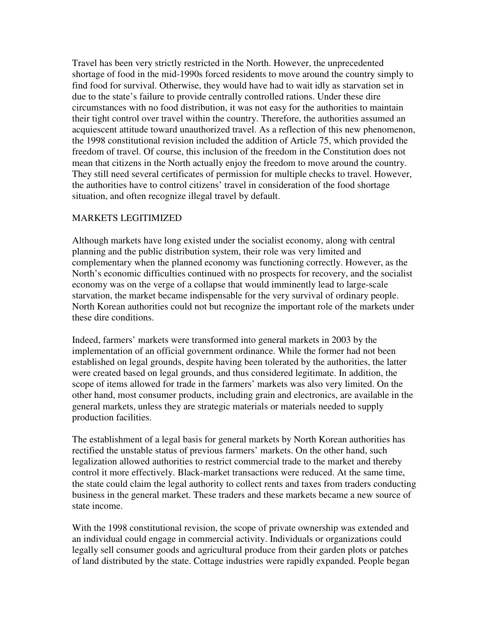Travel has been very strictly restricted in the North. However, the unprecedented shortage of food in the mid-1990s forced residents to move around the country simply to find food for survival. Otherwise, they would have had to wait idly as starvation set in due to the state's failure to provide centrally controlled rations. Under these dire circumstances with no food distribution, it was not easy for the authorities to maintain their tight control over travel within the country. Therefore, the authorities assumed an acquiescent attitude toward unauthorized travel. As a reflection of this new phenomenon, the 1998 constitutional revision included the addition of Article 75, which provided the freedom of travel. Of course, this inclusion of the freedom in the Constitution does not mean that citizens in the North actually enjoy the freedom to move around the country. They still need several certificates of permission for multiple checks to travel. However, the authorities have to control citizens' travel in consideration of the food shortage situation, and often recognize illegal travel by default.

## MARKETS LEGITIMIZED

Although markets have long existed under the socialist economy, along with central planning and the public distribution system, their role was very limited and complementary when the planned economy was functioning correctly. However, as the North's economic difficulties continued with no prospects for recovery, and the socialist economy was on the verge of a collapse that would imminently lead to large-scale starvation, the market became indispensable for the very survival of ordinary people. North Korean authorities could not but recognize the important role of the markets under these dire conditions.

Indeed, farmers' markets were transformed into general markets in 2003 by the implementation of an official government ordinance. While the former had not been established on legal grounds, despite having been tolerated by the authorities, the latter were created based on legal grounds, and thus considered legitimate. In addition, the scope of items allowed for trade in the farmers' markets was also very limited. On the other hand, most consumer products, including grain and electronics, are available in the general markets, unless they are strategic materials or materials needed to supply production facilities.

The establishment of a legal basis for general markets by North Korean authorities has rectified the unstable status of previous farmers' markets. On the other hand, such legalization allowed authorities to restrict commercial trade to the market and thereby control it more effectively. Black-market transactions were reduced. At the same time, the state could claim the legal authority to collect rents and taxes from traders conducting business in the general market. These traders and these markets became a new source of state income.

With the 1998 constitutional revision, the scope of private ownership was extended and an individual could engage in commercial activity. Individuals or organizations could legally sell consumer goods and agricultural produce from their garden plots or patches of land distributed by the state. Cottage industries were rapidly expanded. People began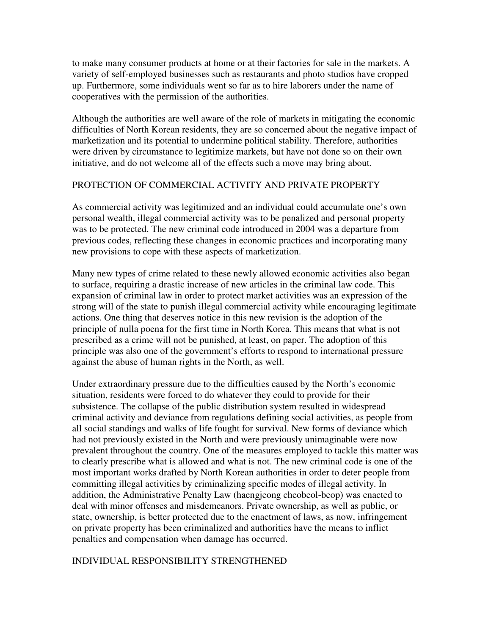to make many consumer products at home or at their factories for sale in the markets. A variety of self-employed businesses such as restaurants and photo studios have cropped up. Furthermore, some individuals went so far as to hire laborers under the name of cooperatives with the permission of the authorities.

Although the authorities are well aware of the role of markets in mitigating the economic difficulties of North Korean residents, they are so concerned about the negative impact of marketization and its potential to undermine political stability. Therefore, authorities were driven by circumstance to legitimize markets, but have not done so on their own initiative, and do not welcome all of the effects such a move may bring about.

#### PROTECTION OF COMMERCIAL ACTIVITY AND PRIVATE PROPERTY

As commercial activity was legitimized and an individual could accumulate one's own personal wealth, illegal commercial activity was to be penalized and personal property was to be protected. The new criminal code introduced in 2004 was a departure from previous codes, reflecting these changes in economic practices and incorporating many new provisions to cope with these aspects of marketization.

Many new types of crime related to these newly allowed economic activities also began to surface, requiring a drastic increase of new articles in the criminal law code. This expansion of criminal law in order to protect market activities was an expression of the strong will of the state to punish illegal commercial activity while encouraging legitimate actions. One thing that deserves notice in this new revision is the adoption of the principle of nulla poena for the first time in North Korea. This means that what is not prescribed as a crime will not be punished, at least, on paper. The adoption of this principle was also one of the government's efforts to respond to international pressure against the abuse of human rights in the North, as well.

Under extraordinary pressure due to the difficulties caused by the North's economic situation, residents were forced to do whatever they could to provide for their subsistence. The collapse of the public distribution system resulted in widespread criminal activity and deviance from regulations defining social activities, as people from all social standings and walks of life fought for survival. New forms of deviance which had not previously existed in the North and were previously unimaginable were now prevalent throughout the country. One of the measures employed to tackle this matter was to clearly prescribe what is allowed and what is not. The new criminal code is one of the most important works drafted by North Korean authorities in order to deter people from committing illegal activities by criminalizing specific modes of illegal activity. In addition, the Administrative Penalty Law (haengjeong cheobeol-beop) was enacted to deal with minor offenses and misdemeanors. Private ownership, as well as public, or state, ownership, is better protected due to the enactment of laws, as now, infringement on private property has been criminalized and authorities have the means to inflict penalties and compensation when damage has occurred.

#### INDIVIDUAL RESPONSIBILITY STRENGTHENED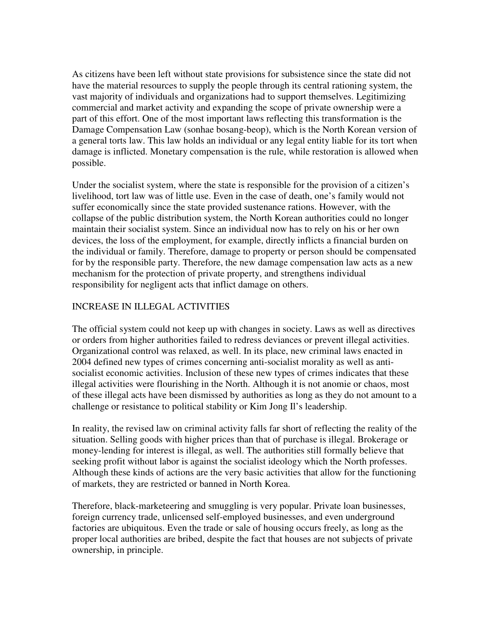As citizens have been left without state provisions for subsistence since the state did not have the material resources to supply the people through its central rationing system, the vast majority of individuals and organizations had to support themselves. Legitimizing commercial and market activity and expanding the scope of private ownership were a part of this effort. One of the most important laws reflecting this transformation is the Damage Compensation Law (sonhae bosang-beop), which is the North Korean version of a general torts law. This law holds an individual or any legal entity liable for its tort when damage is inflicted. Monetary compensation is the rule, while restoration is allowed when possible.

Under the socialist system, where the state is responsible for the provision of a citizen's livelihood, tort law was of little use. Even in the case of death, one's family would not suffer economically since the state provided sustenance rations. However, with the collapse of the public distribution system, the North Korean authorities could no longer maintain their socialist system. Since an individual now has to rely on his or her own devices, the loss of the employment, for example, directly inflicts a financial burden on the individual or family. Therefore, damage to property or person should be compensated for by the responsible party. Therefore, the new damage compensation law acts as a new mechanism for the protection of private property, and strengthens individual responsibility for negligent acts that inflict damage on others.

# INCREASE IN ILLEGAL ACTIVITIES

The official system could not keep up with changes in society. Laws as well as directives or orders from higher authorities failed to redress deviances or prevent illegal activities. Organizational control was relaxed, as well. In its place, new criminal laws enacted in 2004 defined new types of crimes concerning anti-socialist morality as well as antisocialist economic activities. Inclusion of these new types of crimes indicates that these illegal activities were flourishing in the North. Although it is not anomie or chaos, most of these illegal acts have been dismissed by authorities as long as they do not amount to a challenge or resistance to political stability or Kim Jong Il's leadership.

In reality, the revised law on criminal activity falls far short of reflecting the reality of the situation. Selling goods with higher prices than that of purchase is illegal. Brokerage or money-lending for interest is illegal, as well. The authorities still formally believe that seeking profit without labor is against the socialist ideology which the North professes. Although these kinds of actions are the very basic activities that allow for the functioning of markets, they are restricted or banned in North Korea.

Therefore, black-marketeering and smuggling is very popular. Private loan businesses, foreign currency trade, unlicensed self-employed businesses, and even underground factories are ubiquitous. Even the trade or sale of housing occurs freely, as long as the proper local authorities are bribed, despite the fact that houses are not subjects of private ownership, in principle.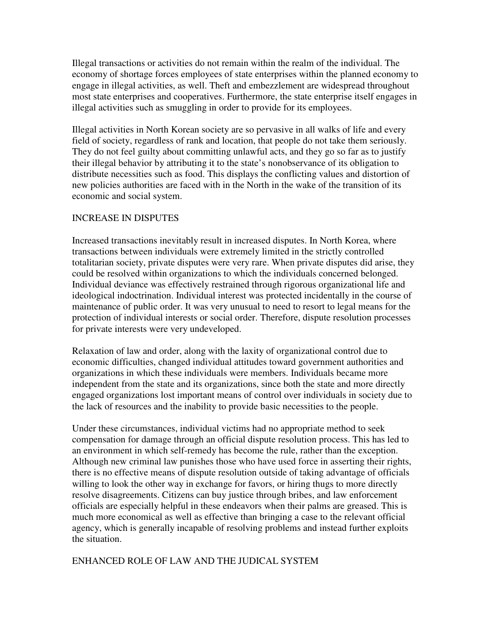Illegal transactions or activities do not remain within the realm of the individual. The economy of shortage forces employees of state enterprises within the planned economy to engage in illegal activities, as well. Theft and embezzlement are widespread throughout most state enterprises and cooperatives. Furthermore, the state enterprise itself engages in illegal activities such as smuggling in order to provide for its employees.

Illegal activities in North Korean society are so pervasive in all walks of life and every field of society, regardless of rank and location, that people do not take them seriously. They do not feel guilty about committing unlawful acts, and they go so far as to justify their illegal behavior by attributing it to the state's nonobservance of its obligation to distribute necessities such as food. This displays the conflicting values and distortion of new policies authorities are faced with in the North in the wake of the transition of its economic and social system.

## INCREASE IN DISPUTES

Increased transactions inevitably result in increased disputes. In North Korea, where transactions between individuals were extremely limited in the strictly controlled totalitarian society, private disputes were very rare. When private disputes did arise, they could be resolved within organizations to which the individuals concerned belonged. Individual deviance was effectively restrained through rigorous organizational life and ideological indoctrination. Individual interest was protected incidentally in the course of maintenance of public order. It was very unusual to need to resort to legal means for the protection of individual interests or social order. Therefore, dispute resolution processes for private interests were very undeveloped.

Relaxation of law and order, along with the laxity of organizational control due to economic difficulties, changed individual attitudes toward government authorities and organizations in which these individuals were members. Individuals became more independent from the state and its organizations, since both the state and more directly engaged organizations lost important means of control over individuals in society due to the lack of resources and the inability to provide basic necessities to the people.

Under these circumstances, individual victims had no appropriate method to seek compensation for damage through an official dispute resolution process. This has led to an environment in which self-remedy has become the rule, rather than the exception. Although new criminal law punishes those who have used force in asserting their rights, there is no effective means of dispute resolution outside of taking advantage of officials willing to look the other way in exchange for favors, or hiring thugs to more directly resolve disagreements. Citizens can buy justice through bribes, and law enforcement officials are especially helpful in these endeavors when their palms are greased. This is much more economical as well as effective than bringing a case to the relevant official agency, which is generally incapable of resolving problems and instead further exploits the situation.

## ENHANCED ROLE OF LAW AND THE JUDICAL SYSTEM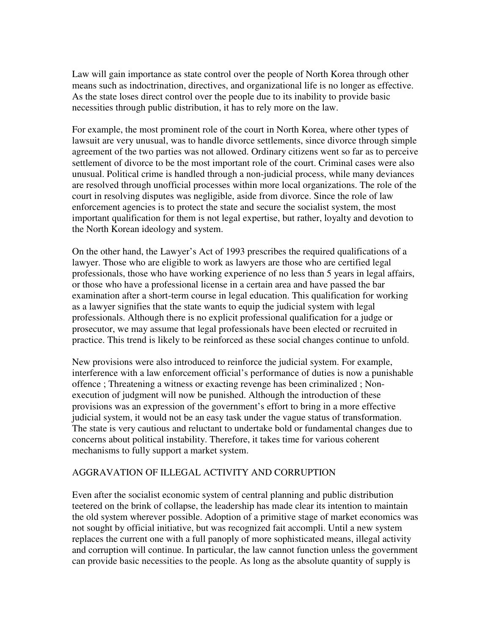Law will gain importance as state control over the people of North Korea through other means such as indoctrination, directives, and organizational life is no longer as effective. As the state loses direct control over the people due to its inability to provide basic necessities through public distribution, it has to rely more on the law.

For example, the most prominent role of the court in North Korea, where other types of lawsuit are very unusual, was to handle divorce settlements, since divorce through simple agreement of the two parties was not allowed. Ordinary citizens went so far as to perceive settlement of divorce to be the most important role of the court. Criminal cases were also unusual. Political crime is handled through a non-judicial process, while many deviances are resolved through unofficial processes within more local organizations. The role of the court in resolving disputes was negligible, aside from divorce. Since the role of law enforcement agencies is to protect the state and secure the socialist system, the most important qualification for them is not legal expertise, but rather, loyalty and devotion to the North Korean ideology and system.

On the other hand, the Lawyer's Act of 1993 prescribes the required qualifications of a lawyer. Those who are eligible to work as lawyers are those who are certified legal professionals, those who have working experience of no less than 5 years in legal affairs, or those who have a professional license in a certain area and have passed the bar examination after a short-term course in legal education. This qualification for working as a lawyer signifies that the state wants to equip the judicial system with legal professionals. Although there is no explicit professional qualification for a judge or prosecutor, we may assume that legal professionals have been elected or recruited in practice. This trend is likely to be reinforced as these social changes continue to unfold.

New provisions were also introduced to reinforce the judicial system. For example, interference with a law enforcement official's performance of duties is now a punishable offence ; Threatening a witness or exacting revenge has been criminalized ; Nonexecution of judgment will now be punished. Although the introduction of these provisions was an expression of the government's effort to bring in a more effective judicial system, it would not be an easy task under the vague status of transformation. The state is very cautious and reluctant to undertake bold or fundamental changes due to concerns about political instability. Therefore, it takes time for various coherent mechanisms to fully support a market system.

#### AGGRAVATION OF ILLEGAL ACTIVITY AND CORRUPTION

Even after the socialist economic system of central planning and public distribution teetered on the brink of collapse, the leadership has made clear its intention to maintain the old system wherever possible. Adoption of a primitive stage of market economics was not sought by official initiative, but was recognized fait accompli. Until a new system replaces the current one with a full panoply of more sophisticated means, illegal activity and corruption will continue. In particular, the law cannot function unless the government can provide basic necessities to the people. As long as the absolute quantity of supply is